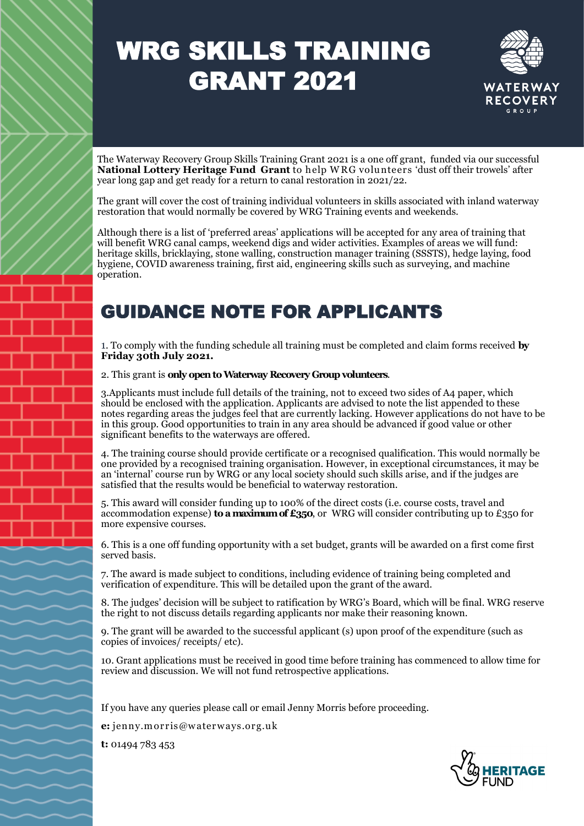### WRG SKILLS TRAINING GRANT 2021



The Waterway Recovery Group Skills Training Grant 2021 is a one off grant, funded via our successful **National Lottery Heritage Fund Grant** to help W RG volunteers 'dust off their trowels' after year long gap and get ready for a return to canal restoration in 2021/22.

The grant will cover the cost of training individual volunteers in skills associated with inland waterway restoration that would normally be covered by WRG Training events and weekends.

Although there is a list of 'preferred areas' applications will be accepted for any area of training that will benefit WRG canal camps, weekend digs and wider activities. Examples of areas we will fund: heritage skills, bricklaying, stone walling, construction manager training (SSSTS), hedge laying, food hygiene, COVID awareness training, first aid, engineering skills such as surveying, and machine operation.

#### GUIDANCE NOTE FOR APPLICANTS

1. To comply with the funding schedule all training must be completed and claim forms received **by Friday 30th July 2021.** 

#### 2. This grant is **only open to Waterway Recovery Group volunteers**.

3.Applicants must include full details of the training, not to exceed two sides of A4 paper, which should be enclosed with the application. Applicants are advised to note the list appended to these notes regarding areas the judges feel that are currently lacking. However applications do not have to be in this group. Good opportunities to train in any area should be advanced if good value or other significant benefits to the waterways are offered.

4. The training course should provide certificate or a recognised qualification. This would normally be one provided by a recognised training organisation. However, in exceptional circumstances, it may be an 'internal' course run by WRG or any local society should such skills arise, and if the judges are satisfied that the results would be beneficial to waterway restoration.

5. This award will consider funding up to 100% of the direct costs (i.e. course costs, travel and accommodation expense) **to a maximum of £350**, or WRG will consider contributing up to £350 for more expensive courses.

6. This is a one off funding opportunity with a set budget, grants will be awarded on a first come first served basis.

7. The award is made subject to conditions, including evidence of training being completed and verification of expenditure. This will be detailed upon the grant of the award.

8. The judges' decision will be subject to ratification by WRG's Board, which will be final. WRG reserve the right to not discuss details regarding applicants nor make their reasoning known.

9. The grant will be awarded to the successful applicant (s) upon proof of the expenditure (such as copies of invoices/ receipts/ etc).

10. Grant applications must be received in good time before training has commenced to allow time for review and discussion. We will not fund retrospective applications.

If you have any queries please call or email Jenny Morris before proceeding.

**e:** jenny.m orris@w aterw ays.org.uk

**t:** 01494 783 453

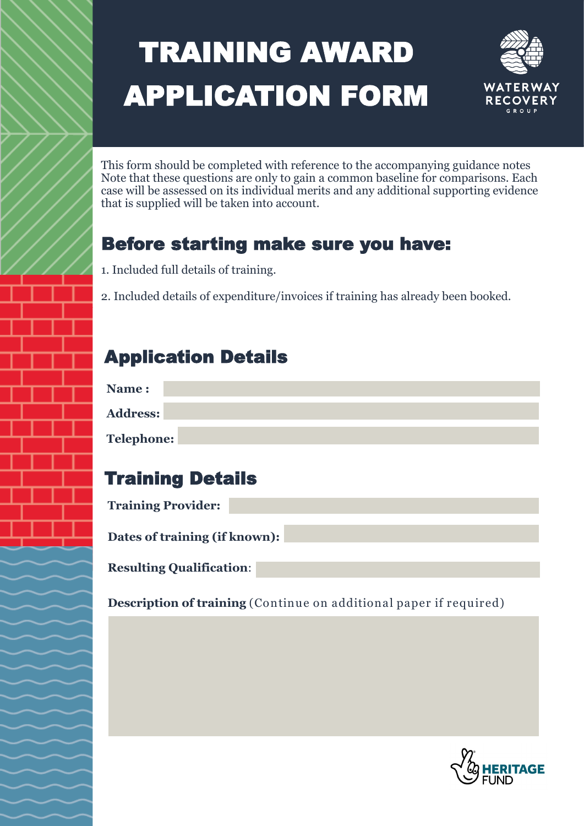# TRAINING AWARD APPLICATION FORM



This form should be completed with reference to the accompanying guidance notes Note that these questions are only to gain a common baseline for comparisons. Each case will be assessed on its individual merits and any additional supporting evidence that is supplied will be taken into account.

#### Before starting make sure you have:

1. Included full details of training.

2. Included details of expenditure/invoices if training has already been booked.

#### Application Details

| Name:             |  |  |
|-------------------|--|--|
| Address:          |  |  |
| <b>Telephone:</b> |  |  |

### Training Details

| <b>Training Provider:</b> |  |
|---------------------------|--|
|                           |  |

**Dates of training (if known):**

**Resulting Qualification**:

**Description of training** (Continue on additional paper if required)